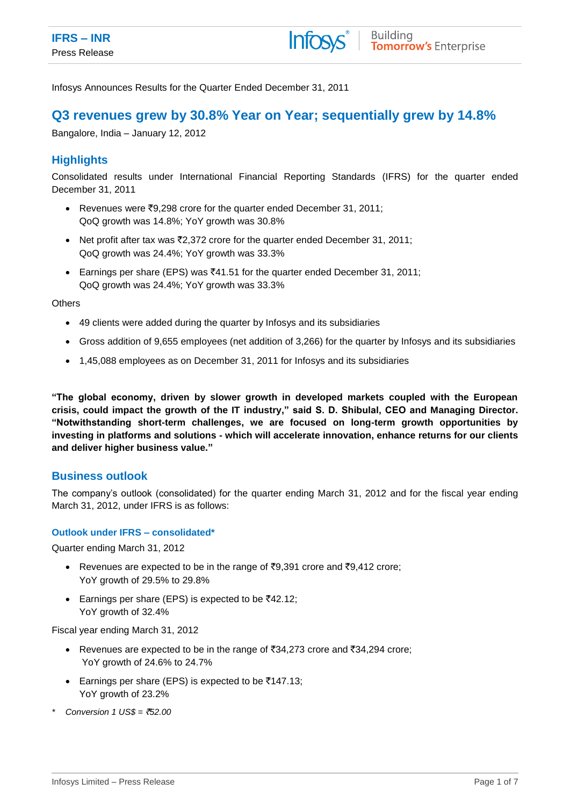Infosys Announces Results for the Quarter Ended December 31, 2011

# **Q3 revenues grew by 30.8% Year on Year; sequentially grew by 14.8%**

Bangalore, India – January 12, 2012

# **Highlights**

Consolidated results under International Financial Reporting Standards (IFRS) for the quarter ended December 31, 2011

- Revenues were ₹9,298 crore for the quarter ended December 31, 2011; QoQ growth was 14.8%; YoY growth was 30.8%
- Net profit after tax was  $\overline{z}2,372$  crore for the quarter ended December 31, 2011; QoQ growth was 24.4%; YoY growth was 33.3%
- Earnings per share (EPS) was  $\overline{4}41.51$  for the quarter ended December 31, 2011; QoQ growth was 24.4%; YoY growth was 33.3%

**Others** 

- 49 clients were added during the quarter by Infosys and its subsidiaries
- Gross addition of 9,655 employees (net addition of 3,266) for the quarter by Infosys and its subsidiaries
- 1,45,088 employees as on December 31, 2011 for Infosys and its subsidiaries

**"The global economy, driven by slower growth in developed markets coupled with the European crisis, could impact the growth of the IT industry," said S. D. Shibulal, CEO and Managing Director. "Notwithstanding short-term challenges, we are focused on long-term growth opportunities by investing in platforms and solutions - which will accelerate innovation, enhance returns for our clients and deliver higher business value."**

# **Business outlook**

The company's outlook (consolidated) for the quarter ending March 31, 2012 and for the fiscal year ending March 31, 2012, under IFRS is as follows:

### **Outlook under IFRS – consolidated\***

Quarter ending March 31, 2012

- **•** Revenues are expected to be in the range of  $\overline{z}9,391$  crore and  $\overline{z}9,412$  crore; YoY growth of 29.5% to 29.8%
- Earnings per share (EPS) is expected to be  $\overline{5}42.12$ ; YoY growth of 32.4%

Fiscal year ending March 31, 2012

- Expedience are expected to be in the range of  $\overline{3}34.273$  crore and  $\overline{3}34.294$  crore; YoY growth of 24.6% to 24.7%
- Earnings per share (EPS) is expected to be  $\overline{5}147.13$ ; YoY growth of 23.2%
- *\* Conversion 1 US\$ =* `*52.00*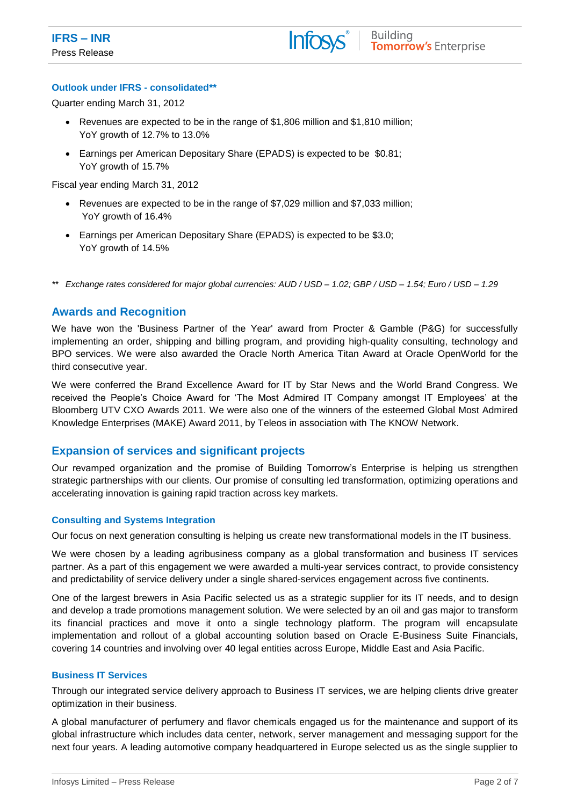

#### **Outlook under IFRS - consolidated\*\***

Quarter ending March 31, 2012

- Revenues are expected to be in the range of \$1,806 million and \$1,810 million; YoY growth of 12.7% to 13.0%
- Earnings per American Depositary Share (EPADS) is expected to be \$0.81; YoY growth of 15.7%

Fiscal year ending March 31, 2012

- Revenues are expected to be in the range of \$7,029 million and \$7,033 million; YoY growth of 16.4%
- Earnings per American Depositary Share (EPADS) is expected to be \$3.0; YoY growth of 14.5%

*\*\* Exchange rates considered for major global currencies: AUD / USD – 1.02; GBP / USD – 1.54; Euro / USD – 1.29*

### **Awards and Recognition**

We have won the 'Business Partner of the Year' award from Procter & Gamble (P&G) for successfully implementing an order, shipping and billing program, and providing high-quality consulting, technology and BPO services. We were also awarded the Oracle North America [Titan Award](http://isinfwp2/Oracle/features-opinions/Pages/titan-award-2011.aspx) at Oracle OpenWorld for the third consecutive year.

We were conferred the Brand Excellence Award for IT by Star News and the World Brand Congress. We received the People's Choice Award for 'The Most Admired IT Company amongst IT Employees' at the Bloomberg UTV CXO Awards 2011. We were also one of the winners of the esteemed Global Most Admired Knowledge Enterprises (MAKE) Award 2011, by Teleos in association with The KNOW Network.

### **Expansion of services and significant projects**

Our revamped organization and the promise of Building Tomorrow's Enterprise is helping us strengthen strategic partnerships with our clients. Our promise of consulting led transformation, optimizing operations and accelerating innovation is gaining rapid traction across key markets.

#### **Consulting and Systems Integration**

Our focus on next generation consulting is helping us create new transformational models in the IT business.

We were chosen by a leading agribusiness company as a global transformation and business IT services partner. As a part of this engagement we were awarded a multi-year services contract, to provide consistency and predictability of service delivery under a single shared-services engagement across five continents.

One of the largest brewers in Asia Pacific selected us as a strategic supplier for its IT needs, and to design and develop a trade promotions management solution. We were selected by an oil and gas major to transform its financial practices and move it onto a single technology platform. The program will encapsulate implementation and rollout of a global accounting solution based on Oracle E-Business Suite Financials, covering 14 countries and involving over 40 legal entities across Europe, Middle East and Asia Pacific.

#### **Business IT Services**

Through our integrated service delivery approach to Business IT services, we are helping clients drive greater optimization in their business.

A global manufacturer of perfumery and flavor chemicals engaged us for the maintenance and support of its global infrastructure which includes data center, network, server management and messaging support for the next four years. A leading automotive company headquartered in Europe selected us as the single supplier to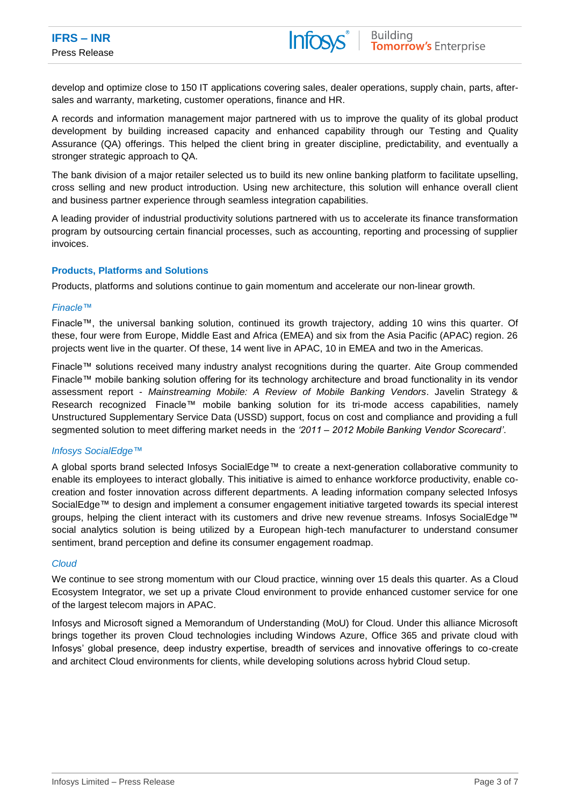develop and optimize close to 150 IT applications covering sales, dealer operations, supply chain, parts, aftersales and warranty, marketing, customer operations, finance and HR.

A records and information management major partnered with us to improve the quality of its global product development by building increased capacity and enhanced capability through our Testing and Quality Assurance (QA) offerings. This helped the client bring in greater discipline, predictability, and eventually a stronger strategic approach to QA.

The bank division of a major retailer selected us to build its new online banking platform to facilitate upselling, cross selling and new product introduction. Using new architecture, this solution will enhance overall client and business partner experience through seamless integration capabilities.

A leading provider of industrial productivity solutions partnered with us to accelerate its finance transformation program by outsourcing certain financial processes, such as accounting, reporting and processing of supplier invoices.

#### **Products, Platforms and Solutions**

Products, platforms and solutions continue to gain momentum and accelerate our non-linear growth.

#### *Finacle™*

Finacle™, the universal banking solution, continued its growth trajectory, adding 10 wins this quarter. Of these, four were from Europe, Middle East and Africa (EMEA) and six from the Asia Pacific (APAC) region. 26 projects went live in the quarter. Of these, 14 went live in APAC, 10 in EMEA and two in the Americas.

Finacle™ solutions received many industry analyst recognitions during the quarter. Aite Group commended Finacle™ mobile banking solution offering for its technology architecture and broad functionality in its vendor assessment report - *Mainstreaming Mobile: A Review of Mobile Banking Vendors*. Javelin Strategy & Research recognized Finacle™ mobile banking solution for its tri-mode access capabilities, namely Unstructured Supplementary Service Data (USSD) support, focus on cost and compliance and providing a full segmented solution to meet differing market needs in the *'2011 – 2012 Mobile Banking Vendor Scorecard'*.

#### *Infosys SocialEdge™*

A global sports brand selected Infosys SocialEdge™ to create a next-generation collaborative community to enable its employees to interact globally. This initiative is aimed to enhance workforce productivity, enable cocreation and foster innovation across different departments. A leading information company selected Infosys SocialEdge™ to design and implement a consumer engagement initiative targeted towards its special interest groups, helping the client interact with its customers and drive new revenue streams. Infosys SocialEdge™ social analytics solution is being utilized by a European high-tech manufacturer to understand consumer sentiment, brand perception and define its consumer engagement roadmap.

#### *Cloud*

We continue to see strong momentum with our Cloud practice, winning over 15 deals this quarter. As a Cloud Ecosystem Integrator, we set up a private Cloud environment to provide enhanced customer service for one of the largest telecom majors in APAC.

Infosys and Microsoft signed a Memorandum of Understanding (MoU) for Cloud. Under this alliance Microsoft brings together its proven Cloud technologies including Windows Azure, Office 365 and private cloud with Infosys' global presence, deep industry expertise, breadth of services and innovative offerings to co-create and architect Cloud environments for clients, while developing solutions across hybrid Cloud setup.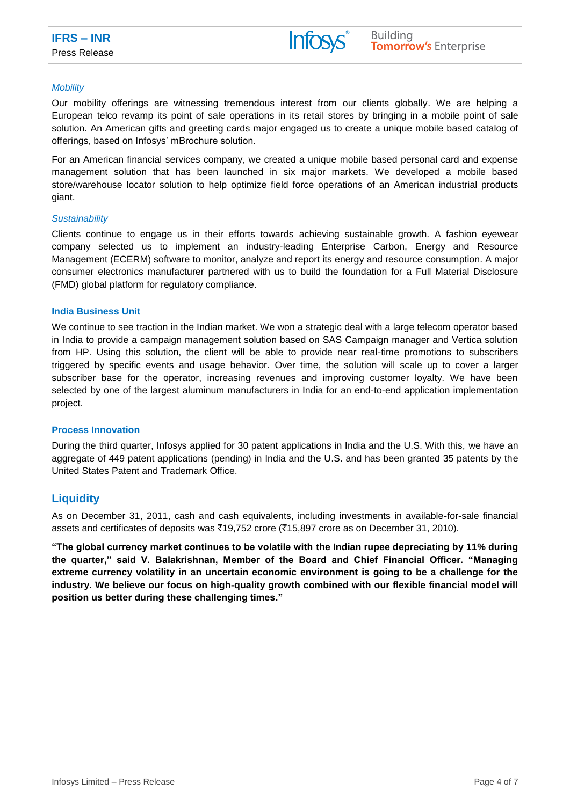#### *Mobility*

Our mobility offerings are witnessing tremendous interest from our clients globally. We are helping a European telco revamp its point of sale operations in its retail stores by bringing in a mobile point of sale solution. An American gifts and greeting cards major engaged us to create a unique mobile based catalog of offerings, based on Infosys' mBrochure solution.

For an American financial services company, we created a unique mobile based personal card and expense management solution that has been launched in six major markets. We developed a mobile based store/warehouse locator solution to help optimize field force operations of an American industrial products giant.

#### *Sustainability*

Clients continue to engage us in their efforts towards achieving sustainable growth. A fashion eyewear company selected us to implement an industry-leading Enterprise Carbon, Energy and Resource Management (ECERM) software to monitor, analyze and report its energy and resource consumption. A major consumer electronics manufacturer partnered with us to build the foundation for a Full Material Disclosure (FMD) global platform for regulatory compliance.

#### **India Business Unit**

We continue to see traction in the Indian market. We won a strategic deal with a large telecom operator based in India to provide a campaign management solution based on SAS Campaign manager and Vertica solution from HP. Using this solution, the client will be able to provide near real-time promotions to subscribers triggered by specific events and usage behavior. Over time, the solution will scale up to cover a larger subscriber base for the operator, increasing revenues and improving customer loyalty. We have been selected by one of the largest aluminum manufacturers in India for an end-to-end application implementation project.

#### **Process Innovation**

During the third quarter, Infosys applied for 30 patent applications in India and the U.S. With this, we have an aggregate of 449 patent applications (pending) in India and the U.S. and has been granted 35 patents by the United States Patent and Trademark Office.

# **Liquidity**

As on December 31, 2011, cash and cash equivalents, including investments in available-for-sale financial assets and certificates of deposits was ₹19,752 crore (₹15,897 crore as on December 31, 2010).

**"The global currency market continues to be volatile with the Indian rupee depreciating by 11% during the quarter," said V. Balakrishnan, Member of the Board and Chief Financial Officer. "Managing extreme currency volatility in an uncertain economic environment is going to be a challenge for the industry. We believe our focus on high-quality growth combined with our flexible financial model will position us better during these challenging times."**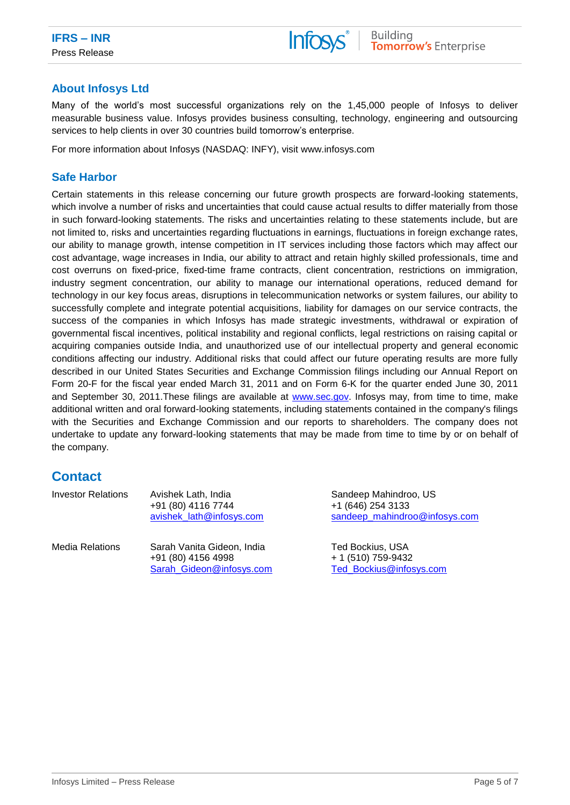

# **About Infosys Ltd**

Many of the world's most successful organizations rely on the 1,45,000 people of Infosys to deliver measurable business value. Infosys provides business consulting, technology, engineering and outsourcing services to help clients in over 30 countries build tomorrow's enterprise.

For more information about Infosys (NASDAQ: INFY), visit www.infosys.com

### **Safe Harbor**

Certain statements in this release concerning our future growth prospects are forward-looking statements, which involve a number of risks and uncertainties that could cause actual results to differ materially from those in such forward-looking statements. The risks and uncertainties relating to these statements include, but are not limited to, risks and uncertainties regarding fluctuations in earnings, fluctuations in foreign exchange rates, our ability to manage growth, intense competition in IT services including those factors which may affect our cost advantage, wage increases in India, our ability to attract and retain highly skilled professionals, time and cost overruns on fixed-price, fixed-time frame contracts, client concentration, restrictions on immigration, industry segment concentration, our ability to manage our international operations, reduced demand for technology in our key focus areas, disruptions in telecommunication networks or system failures, our ability to successfully complete and integrate potential acquisitions, liability for damages on our service contracts, the success of the companies in which Infosys has made strategic investments, withdrawal or expiration of governmental fiscal incentives, political instability and regional conflicts, legal restrictions on raising capital or acquiring companies outside India, and unauthorized use of our intellectual property and general economic conditions affecting our industry. Additional risks that could affect our future operating results are more fully described in our United States Securities and Exchange Commission filings including our Annual Report on Form 20-F for the fiscal year ended March 31, 2011 and on Form 6-K for the quarter ended June 30, 2011 and September 30, 2011.These filings are available at [www.sec.gov.](http://www.sec.gov/) Infosys may, from time to time, make additional written and oral forward-looking statements, including statements contained in the company's filings with the Securities and Exchange Commission and our reports to shareholders. The company does not undertake to update any forward-looking statements that may be made from time to time by or on behalf of the company.

# **Contact**

| <b>Investor Relations</b> | Avishek Lath, India      |  |  |
|---------------------------|--------------------------|--|--|
|                           | +91 (80) 4116 7744       |  |  |
|                           | avishek lath@infosys.com |  |  |
|                           |                          |  |  |

Media Relations Sarah Vanita Gideon, India +91 (80) 4156 4998 [Sarah\\_Gideon@infosys.com](mailto:Sarah_Gideon@infosys.com) Sandeep Mahindroo, US +1 (646) 254 3133 [sandeep\\_mahindroo@infosys.com](mailto:sandeep_mahindroo@infosys.com)

Ted Bockius, USA + 1 (510) 759-9432 [Ted\\_Bockius@infosys.com](mailto:Ted_Bockius@infosys.com)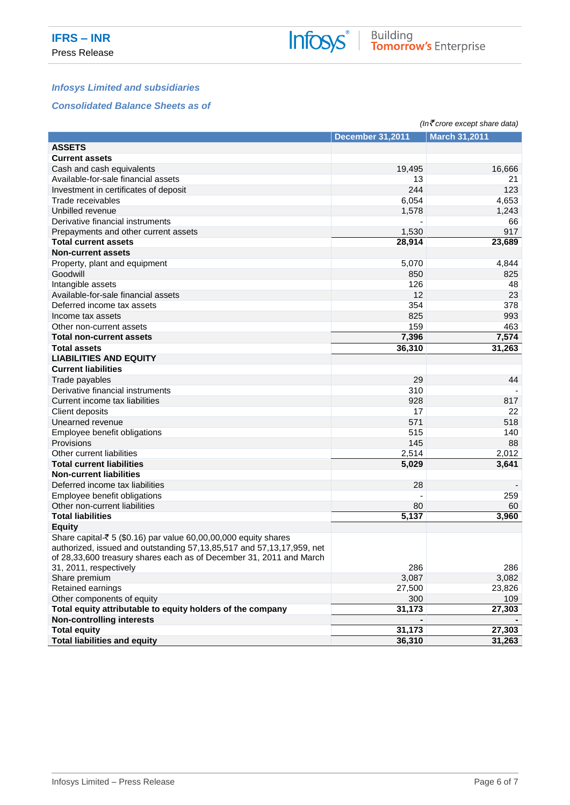# *Infosys Limited and subsidiaries*

#### *Consolidated Balance Sheets as of*

|                                                                             |                         | $(ln\bar{\mathcal{F}}$ crore except share data) |
|-----------------------------------------------------------------------------|-------------------------|-------------------------------------------------|
|                                                                             | <b>December 31,2011</b> | <b>March 31,2011</b>                            |
| <b>ASSETS</b>                                                               |                         |                                                 |
| <b>Current assets</b>                                                       |                         |                                                 |
| Cash and cash equivalents                                                   | 19,495                  | 16,666                                          |
| Available-for-sale financial assets                                         | 13                      | 21                                              |
| Investment in certificates of deposit                                       | 244                     | 123                                             |
| Trade receivables                                                           | 6,054                   | 4,653                                           |
| Unbilled revenue                                                            | 1,578                   | 1,243                                           |
| Derivative financial instruments                                            |                         | 66                                              |
| Prepayments and other current assets                                        | 1,530                   | 917                                             |
| <b>Total current assets</b>                                                 | 28,914                  | 23,689                                          |
| <b>Non-current assets</b>                                                   |                         |                                                 |
| Property, plant and equipment                                               | 5,070                   | 4,844                                           |
| Goodwill                                                                    | 850                     | 825                                             |
| Intangible assets                                                           | 126                     | 48                                              |
| Available-for-sale financial assets                                         | 12                      | 23                                              |
| Deferred income tax assets                                                  | 354                     | 378                                             |
| Income tax assets                                                           | 825                     | 993                                             |
| Other non-current assets                                                    | 159                     | 463                                             |
| <b>Total non-current assets</b>                                             | 7,396                   | 7,574                                           |
|                                                                             |                         |                                                 |
| <b>Total assets</b>                                                         | 36,310                  | 31,263                                          |
| <b>LIABILITIES AND EQUITY</b>                                               |                         |                                                 |
| <b>Current liabilities</b>                                                  |                         |                                                 |
| Trade payables                                                              | 29                      | 44                                              |
| Derivative financial instruments                                            | 310                     |                                                 |
| Current income tax liabilities                                              | 928                     | 817                                             |
| Client deposits                                                             | 17                      | 22                                              |
| Unearned revenue                                                            | 571                     | 518                                             |
| Employee benefit obligations                                                | 515                     | 140                                             |
| Provisions                                                                  | 145                     | 88                                              |
| Other current liabilities                                                   | 2,514                   | 2,012                                           |
| <b>Total current liabilities</b>                                            | 5,029                   | 3,641                                           |
| <b>Non-current liabilities</b>                                              |                         |                                                 |
| Deferred income tax liabilities                                             | 28                      |                                                 |
| Employee benefit obligations                                                |                         | 259                                             |
| Other non-current liabilities                                               | 80                      | 60                                              |
| <b>Total liabilities</b>                                                    | 5,137                   | 3,960                                           |
| <b>Equity</b>                                                               |                         |                                                 |
| Share capital- $\bar{\tau}$ 5 (\$0.16) par value 60,00,00,000 equity shares |                         |                                                 |
| authorized, issued and outstanding 57,13,85,517 and 57,13,17,959, net       |                         |                                                 |
| of 28,33,600 treasury shares each as of December 31, 2011 and March         |                         |                                                 |
| 31, 2011, respectively                                                      | 286                     | 286                                             |
| Share premium                                                               | 3,087                   | 3,082                                           |
| Retained earnings                                                           | 27,500                  | 23,826                                          |
| Other components of equity                                                  | 300                     | 109                                             |
| Total equity attributable to equity holders of the company                  | 31,173                  | 27,303                                          |
| <b>Non-controlling interests</b>                                            |                         |                                                 |
| <b>Total equity</b>                                                         | 31,173                  | 27,303                                          |
| <b>Total liabilities and equity</b>                                         | 36,310                  | 31,263                                          |